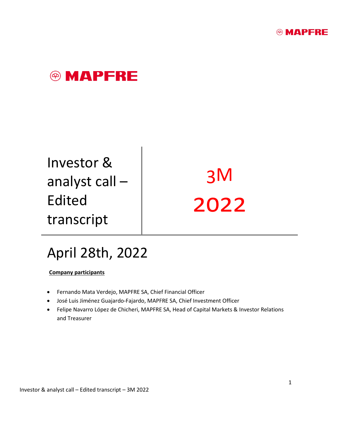



Investor & analyst call – Edited transcript

3M 2022

## April 28th, 2022

**Company participants**

- Fernando Mata Verdejo, MAPFRE SA, Chief Financial Officer
- José Luis Jiménez Guajardo-Fajardo, MAPFRE SA, Chief Investment Officer
- Felipe Navarro López de Chicheri, MAPFRE SA, Head of Capital Markets & Investor Relations and Treasurer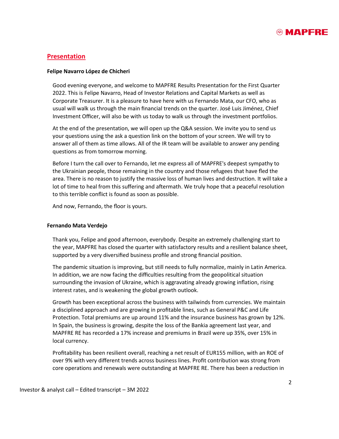

### **Presentation**

#### **Felipe Navarro López de Chicheri**

Good evening everyone, and welcome to MAPFRE Results Presentation for the First Quarter 2022. This is Felipe Navarro, Head of Investor Relations and Capital Markets as well as Corporate Treasurer. It is a pleasure to have here with us Fernando Mata, our CFO, who as usual will walk us through the main financial trends on the quarter. José Luis Jiménez, Chief Investment Officer, will also be with us today to walk us through the investment portfolios.

At the end of the presentation, we will open up the Q&A session. We invite you to send us your questions using the ask a question link on the bottom of your screen. We will try to answer all of them as time allows. All of the IR team will be available to answer any pending questions as from tomorrow morning.

Before I turn the call over to Fernando, let me express all of MAPFRE's deepest sympathy to the Ukrainian people, those remaining in the country and those refugees that have fled the area. There is no reason to justify the massive loss of human lives and destruction. It will take a lot of time to heal from this suffering and aftermath. We truly hope that a peaceful resolution to this terrible conflict is found as soon as possible.

And now, Fernando, the floor is yours.

#### **Fernando Mata Verdejo**

Thank you, Felipe and good afternoon, everybody. Despite an extremely challenging start to the year, MAPFRE has closed the quarter with satisfactory results and a resilient balance sheet, supported by a very diversified business profile and strong financial position.

The pandemic situation is improving, but still needs to fully normalize, mainly in Latin America. In addition, we are now facing the difficulties resulting from the geopolitical situation surrounding the invasion of Ukraine, which is aggravating already growing inflation, rising interest rates, and is weakening the global growth outlook.

Growth has been exceptional across the business with tailwinds from currencies. We maintain a disciplined approach and are growing in profitable lines, such as General P&C and Life Protection. Total premiums are up around 11% and the insurance business has grown by 12%. In Spain, the business is growing, despite the loss of the Bankia agreement last year, and MAPFRE RE has recorded a 17% increase and premiums in Brazil were up 35%, over 15% in local currency.

Profitability has been resilient overall, reaching a net result of EUR155 million, with an ROE of over 9% with very different trends across business lines. Profit contribution was strong from core operations and renewals were outstanding at MAPFRE RE. There has been a reduction in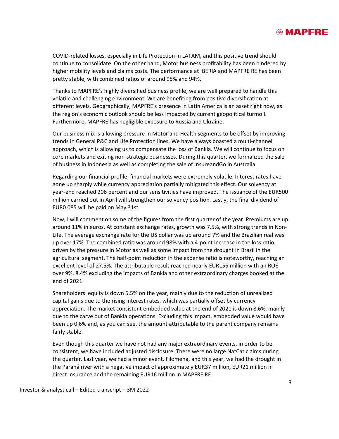

COVID-related losses, especially in Life Protection in LATAM, and this positive trend should continue to consolidate. On the other hand, Motor business profitability has been hindered by higher mobility levels and claims costs. The performance at IBERIA and MAPFRE RE has been pretty stable, with combined ratios of around 95% and 94%.

Thanks to MAPFRE's highly diversified business profile, we are well prepared to handle this volatile and challenging environment. We are benefiting from positive diversification at different levels. Geographically, MAPFRE's presence in Latin America is an asset right now, as the region's economic outlook should be less impacted by current geopolitical turmoil. Furthermore, MAPFRE has negligible exposure to Russia and Ukraine.

Our business mix is allowing pressure in Motor and Health segments to be offset by improving trends in General P&C and Life Protection lines. We have always boasted a multi-channel approach, which is allowing us to compensate the loss of Bankia. We will continue to focus on core markets and exiting non-strategic businesses. During this quarter, we formalized the sale of business in Indonesia as well as completing the sale of InsureandGo in Australia.

Regarding our financial profile, financial markets were extremely volatile. Interest rates have gone up sharply while currency appreciation partially mitigated this effect. Our solvency at year-end reached 206 percent and our sensitivities have improved. The issuance of the EUR500 million carried out in April will strengthen our solvency position. Lastly, the final dividend of EUR0.085 will be paid on May 31st.

Now, I will comment on some of the figures from the first quarter of the year. Premiums are up around 11% in euros. At constant exchange rates, growth was 7.5%, with strong trends in Non-Life. The average exchange rate for the US dollar was up around 7% and the Brazilian real was up over 17%. The combined ratio was around 98% with a 4-point increase in the loss ratio, driven by the pressure in Motor as well as some impact from the drought in Brazil in the agricultural segment. The half-point reduction in the expense ratio is noteworthy, reaching an excellent level of 27.5%. The attributable result reached nearly EUR155 million with an ROE over 9%, 8.4% excluding the impacts of Bankia and other extraordinary charges booked at the end of 2021.

Shareholders' equity is down 5.5% on the year, mainly due to the reduction of unrealized capital gains due to the rising interest rates, which was partially offset by currency appreciation. The market consistent embedded value at the end of 2021 is down 8.6%, mainly due to the carve out of Bankia operations. Excluding this impact, embedded value would have been up 0.6% and, as you can see, the amount attributable to the parent company remains fairly stable.

Even though this quarter we have not had any major extraordinary events, in order to be consistent, we have included adjusted disclosure. There were no large NatCat claims during the quarter. Last year, we had a minor event, Filomena, and this year, we had the drought in the Paraná river with a negative impact of approximately EUR37 million, EUR21 million in direct insurance and the remaining EUR16 million in MAPFRE RE.

Investor & analyst call – Edited transcript – 3M 2022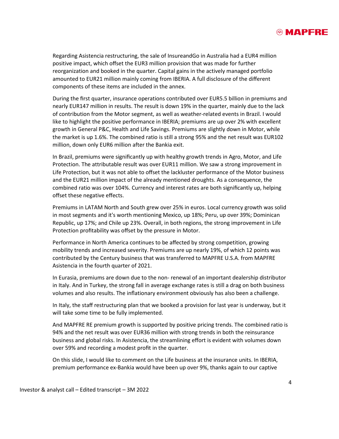

Regarding Asistencia restructuring, the sale of InsureandGo in Australia had a EUR4 million positive impact, which offset the EUR3 million provision that was made for further reorganization and booked in the quarter. Capital gains in the actively managed portfolio amounted to EUR21 million mainly coming from IBERIA. A full disclosure of the different components of these items are included in the annex.

During the first quarter, insurance operations contributed over EUR5.5 billion in premiums and nearly EUR147 million in results. The result is down 19% in the quarter, mainly due to the lack of contribution from the Motor segment, as well as weather-related events in Brazil. I would like to highlight the positive performance in IBERIA; premiums are up over 2% with excellent growth in General P&C, Health and Life Savings. Premiums are slightly down in Motor, while the market is up 1.6%. The combined ratio is still a strong 95% and the net result was EUR102 million, down only EUR6 million after the Bankia exit.

In Brazil, premiums were significantly up with healthy growth trends in Agro, Motor, and Life Protection. The attributable result was over EUR11 million. We saw a strong improvement in Life Protection, but it was not able to offset the lackluster performance of the Motor business and the EUR21 million impact of the already mentioned droughts. As a consequence, the combined ratio was over 104%. Currency and interest rates are both significantly up, helping offset these negative effects.

Premiums in LATAM North and South grew over 25% in euros. Local currency growth was solid in most segments and it's worth mentioning Mexico, up 18%; Peru, up over 39%; Dominican Republic, up 17%; and Chile up 23%. Overall, in both regions, the strong improvement in Life Protection profitability was offset by the pressure in Motor.

Performance in North America continues to be affected by strong competition, growing mobility trends and increased severity. Premiums are up nearly 19%, of which 12 points was contributed by the Century business that was transferred to MAPFRE U.S.A. from MAPFRE Asistencia in the fourth quarter of 2021.

In Eurasia, premiums are down due to the non- renewal of an important dealership distributor in Italy. And in Turkey, the strong fall in average exchange rates is still a drag on both business volumes and also results. The inflationary environment obviously has also been a challenge.

In Italy, the staff restructuring plan that we booked a provision for last year is underway, but it will take some time to be fully implemented.

And MAPFRE RE premium growth is supported by positive pricing trends. The combined ratio is 94% and the net result was over EUR36 million with strong trends in both the reinsurance business and global risks. In Asistencia, the streamlining effort is evident with volumes down over 59% and recording a modest profit in the quarter.

On this slide, I would like to comment on the Life business at the insurance units. In IBERIA, premium performance ex-Bankia would have been up over 9%, thanks again to our captive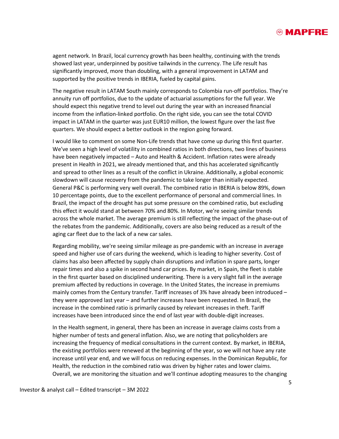

agent network. In Brazil, local currency growth has been healthy, continuing with the trends showed last year, underpinned by positive tailwinds in the currency. The Life result has significantly improved, more than doubling, with a general improvement in LATAM and supported by the positive trends in IBERIA, fueled by capital gains.

The negative result in LATAM South mainly corresponds to Colombia run-off portfolios. They're annuity run off portfolios, due to the update of actuarial assumptions for the full year. We should expect this negative trend to level out during the year with an increased financial income from the inflation-linked portfolio. On the right side, you can see the total COVID impact in LATAM in the quarter was just EUR10 million, the lowest figure over the last five quarters. We should expect a better outlook in the region going forward.

I would like to comment on some Non-Life trends that have come up during this first quarter. We've seen a high level of volatility in combined ratios in both directions, two lines of business have been negatively impacted – Auto and Health & Accident. Inflation rates were already present in Health in 2021, we already mentioned that, and this has accelerated significantly and spread to other lines as a result of the conflict in Ukraine. Additionally, a global economic slowdown will cause recovery from the pandemic to take longer than initially expected. General P&C is performing very well overall. The combined ratio in IBERIA is below 89%, down 10 percentage points, due to the excellent performance of personal and commercial lines. In Brazil, the impact of the drought has put some pressure on the combined ratio, but excluding this effect it would stand at between 70% and 80%. In Motor, we're seeing similar trends across the whole market. The average premium is still reflecting the impact of the phase-out of the rebates from the pandemic. Additionally, covers are also being reduced as a result of the aging car fleet due to the lack of a new car sales.

Regarding mobility, we're seeing similar mileage as pre-pandemic with an increase in average speed and higher use of cars during the weekend, which is leading to higher severity. Cost of claims has also been affected by supply chain disruptions and inflation in spare parts, longer repair times and also a spike in second hand car prices. By market, in Spain, the fleet is stable in the first quarter based on disciplined underwriting. There is a very slight fall in the average premium affected by reductions in coverage. In the United States, the increase in premiums mainly comes from the Century transfer. Tariff increases of 3% have already been introduced they were approved last year – and further increases have been requested. In Brazil, the increase in the combined ratio is primarily caused by relevant increases in theft. Tariff increases have been introduced since the end of last year with double-digit increases.

In the Health segment, in general, there has been an increase in average claims costs from a higher number of tests and general inflation. Also, we are noting that policyholders are increasing the frequency of medical consultations in the current context. By market, in IBERIA, the existing portfolios were renewed at the beginning of the year, so we will not have any rate increase until year end, and we will focus on reducing expenses. In the Dominican Republic, for Health, the reduction in the combined ratio was driven by higher rates and lower claims. Overall, we are monitoring the situation and we'll continue adopting measures to the changing

Investor & analyst call – Edited transcript – 3M 2022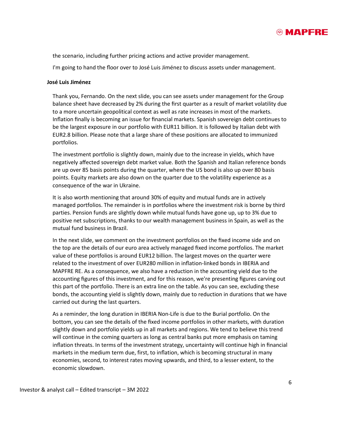

the scenario, including further pricing actions and active provider management.

I'm going to hand the floor over to José Luis Jiménez to discuss assets under management.

#### **José Luis Jiménez**

Thank you, Fernando. On the next slide, you can see assets under management for the Group balance sheet have decreased by 2% during the first quarter as a result of market volatility due to a more uncertain geopolitical context as well as rate increases in most of the markets. Inflation finally is becoming an issue for financial markets. Spanish sovereign debt continues to be the largest exposure in our portfolio with EUR11 billion. It is followed by Italian debt with EUR2.8 billion. Please note that a large share of these positions are allocated to immunized portfolios.

The investment portfolio is slightly down, mainly due to the increase in yields, which have negatively affected sovereign debt market value. Both the Spanish and Italian reference bonds are up over 85 basis points during the quarter, where the US bond is also up over 80 basis points. Equity markets are also down on the quarter due to the volatility experience as a consequence of the war in Ukraine.

It is also worth mentioning that around 30% of equity and mutual funds are in actively managed portfolios. The remainder is in portfolios where the investment risk is borne by third parties. Pension funds are slightly down while mutual funds have gone up, up to 3% due to positive net subscriptions, thanks to our wealth management business in Spain, as well as the mutual fund business in Brazil.

In the next slide, we comment on the investment portfolios on the fixed income side and on the top are the details of our euro area actively managed fixed income portfolios. The market value of these portfolios is around EUR12 billion. The largest moves on the quarter were related to the investment of over EUR280 million in inflation-linked bonds in IBERIA and MAPFRE RE. As a consequence, we also have a reduction in the accounting yield due to the accounting figures of this investment, and for this reason, we're presenting figures carving out this part of the portfolio. There is an extra line on the table. As you can see, excluding these bonds, the accounting yield is slightly down, mainly due to reduction in durations that we have carried out during the last quarters.

As a reminder, the long duration in IBERIA Non-Life is due to the Burial portfolio. On the bottom, you can see the details of the fixed income portfolios in other markets, with duration slightly down and portfolio yields up in all markets and regions. We tend to believe this trend will continue in the coming quarters as long as central banks put more emphasis on taming inflation threats. In terms of the investment strategy, uncertainty will continue high in financial markets in the medium term due, first, to inflation, which is becoming structural in many economies, second, to interest rates moving upwards, and third, to a lesser extent, to the economic slowdown.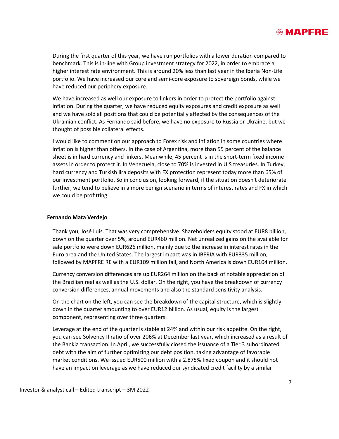

During the first quarter of this year, we have run portfolios with a lower duration compared to benchmark. This is in-line with Group investment strategy for 2022, in order to embrace a higher interest rate environment. This is around 20% less than last year in the Iberia Non-Life portfolio. We have increased our core and semi-core exposure to sovereign bonds, while we have reduced our periphery exposure.

We have increased as well our exposure to linkers in order to protect the portfolio against inflation. During the quarter, we have reduced equity exposures and credit exposure as well and we have sold all positions that could be potentially affected by the consequences of the Ukrainian conflict. As Fernando said before, we have no exposure to Russia or Ukraine, but we thought of possible collateral effects.

I would like to comment on our approach to Forex risk and inflation in some countries where inflation is higher than others. In the case of Argentina, more than 55 percent of the balance sheet is in hard currency and linkers. Meanwhile, 45 percent is in the short-term fixed income assets in order to protect it. In Venezuela, close to 70% is invested in U.S treasuries. In Turkey, hard currency and Turkish lira deposits with FX protection represent today more than 65% of our investment portfolio. So in conclusion, looking forward, if the situation doesn't deteriorate further, we tend to believe in a more benign scenario in terms of interest rates and FX in which we could be profitting.

#### **Fernando Mata Verdejo**

Thank you, José Luis. That was very comprehensive. Shareholders equity stood at EUR8 billion, down on the quarter over 5%, around EUR460 million. Net unrealized gains on the available for sale portfolio were down EUR626 million, mainly due to the increase in interest rates in the Euro area and the United States. The largest impact was in IBERIA with EUR335 million, followed by MAPFRE RE with a EUR109 million fall, and North America is down EUR104 million.

Currency conversion differences are up EUR264 million on the back of notable appreciation of the Brazilian real as well as the U.S. dollar. On the right, you have the breakdown of currency conversion differences, annual movements and also the standard sensitivity analysis.

On the chart on the left, you can see the breakdown of the capital structure, which is slightly down in the quarter amounting to over EUR12 billion. As usual, equity is the largest component, representing over three quarters.

Leverage at the end of the quarter is stable at 24% and within our risk appetite. On the right, you can see Solvency II ratio of over 206% at December last year, which increased as a result of the Bankia transaction. In April, we successfully closed the issuance of a Tier 3 subordinated debt with the aim of further optimizing our debt position, taking advantage of favorable market conditions. We issued EUR500 million with a 2.875% fixed coupon and it should not have an impact on leverage as we have reduced our syndicated credit facility by a similar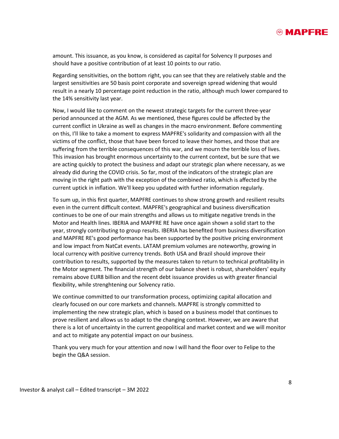

amount. This issuance, as you know, is considered as capital for Solvency II purposes and should have a positive contribution of at least 10 points to our ratio.

Regarding sensitivities, on the bottom right, you can see that they are relatively stable and the largest sensitivities are 50 basis point corporate and sovereign spread widening that would result in a nearly 10 percentage point reduction in the ratio, although much lower compared to the 14% sensitivity last year.

Now, I would like to comment on the newest strategic targets for the current three-year period announced at the AGM. As we mentioned, these figures could be affected by the current conflict in Ukraine as well as changes in the macro environment. Before commenting on this, I'll like to take a moment to express MAPFRE's solidarity and compassion with all the victims of the conflict, those that have been forced to leave their homes, and those that are suffering from the terrible consequences of this war, and we mourn the terrible loss of lives. This invasion has brought enormous uncertainty to the current context, but be sure that we are acting quickly to protect the business and adapt our strategic plan where necessary, as we already did during the COVID crisis. So far, most of the indicators of the strategic plan are moving in the right path with the exception of the combined ratio, which is affected by the current uptick in inflation. We'll keep you updated with further information regularly.

To sum up, in this first quarter, MAPFRE continues to show strong growth and resilient results even in the current difficult context. MAPFRE's geographical and business diversification continues to be one of our main strengths and allows us to mitigate negative trends in the Motor and Health lines. IBERIA and MAPFRE RE have once again shown a solid start to the year, strongly contributing to group results. IBERIA has benefited from business diversification and MAPFRE RE's good performance has been supported by the positive pricing environment and low impact from NatCat events. LATAM premium volumes are noteworthy, growing in local currency with positive currency trends. Both USA and Brazil should improve their contribution to results, supported by the measures taken to return to technical profitability in the Motor segment. The financial strength of our balance sheet is robust, shareholders' equity remains above EUR8 billion and the recent debt issuance provides us with greater financial flexibility, while strenghtening our Solvency ratio.

We continue committed to our transformation process, optimizing capital allocation and clearly focused on our core markets and channels. MAPFRE is strongly committed to implementing the new strategic plan, which is based on a business model that continues to prove resilient and allows us to adapt to the changing context. However, we are aware that there is a lot of uncertainty in the current geopolitical and market context and we will monitor and act to mitigate any potential impact on our business.

Thank you very much for your attention and now I will hand the floor over to Felipe to the begin the Q&A session.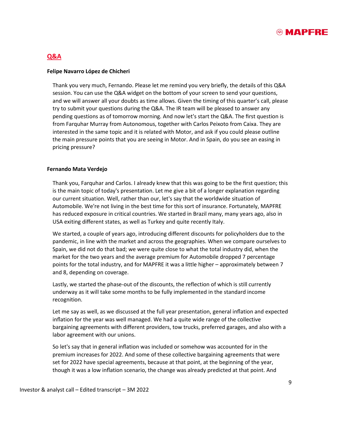

## **Q&A**

#### **Felipe Navarro López de Chicheri**

Thank you very much, Fernando. Please let me remind you very briefly, the details of this Q&A session. You can use the Q&A widget on the bottom of your screen to send your questions, and we will answer all your doubts as time allows. Given the timing of this quarter's call, please try to submit your questions during the Q&A. The IR team will be pleased to answer any pending questions as of tomorrow morning. And now let's start the Q&A. The first question is from Farquhar Murray from Autonomous, together with Carlos Peixoto from Caixa. They are interested in the same topic and it is related with Motor, and ask if you could please outline the main pressure points that you are seeing in Motor. And in Spain, do you see an easing in pricing pressure?

#### **Fernando Mata Verdejo**

Thank you, Farquhar and Carlos. I already knew that this was going to be the first question; this is the main topic of today's presentation. Let me give a bit of a longer explanation regarding our current situation. Well, rather than our, let's say that the worldwide situation of Automobile. We're not living in the best time for this sort of insurance. Fortunately, MAPFRE has reduced exposure in critical countries. We started in Brazil many, many years ago, also in USA exiting different states, as well as Turkey and quite recently Italy.

We started, a couple of years ago, introducing different discounts for policyholders due to the pandemic, in line with the market and across the geographies. When we compare ourselves to Spain, we did not do that bad; we were quite close to what the total industry did, when the market for the two years and the average premium for Automobile dropped 7 percentage points for the total industry, and for MAPFRE it was a little higher – approximately between 7 and 8, depending on coverage.

Lastly, we started the phase-out of the discounts, the reflection of which is still currently underway as it will take some months to be fully implemented in the standard income recognition.

Let me say as well, as we discussed at the full year presentation, general inflation and expected inflation for the year was well managed. We had a quite wide range of the collective bargaining agreements with different providers, tow trucks, preferred garages, and also with a labor agreement with our unions.

So let's say that in general inflation was included or somehow was accounted for in the premium increases for 2022. And some of these collective bargaining agreements that were set for 2022 have special agreements, because at that point, at the beginning of the year, though it was a low inflation scenario, the change was already predicted at that point. And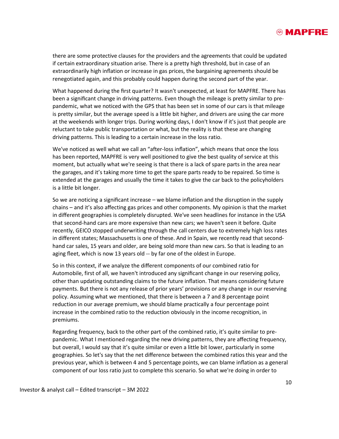

there are some protective clauses for the providers and the agreements that could be updated if certain extraordinary situation arise. There is a pretty high threshold, but in case of an extraordinarily high inflation or increase in gas prices, the bargaining agreements should be renegotiated again, and this probably could happen during the second part of the year.

What happened during the first quarter? It wasn't unexpected, at least for MAPFRE. There has been a significant change in driving patterns. Even though the mileage is pretty similar to prepandemic, what we noticed with the GPS that has been set in some of our cars is that mileage is pretty similar, but the average speed is a little bit higher, and drivers are using the car more at the weekends with longer trips. During working days, I don't know if it's just that people are reluctant to take public transportation or what, but the reality is that these are changing driving patterns. This is leading to a certain increase in the loss ratio.

We've noticed as well what we call an "after-loss inflation", which means that once the loss has been reported, MAPFRE is very well positioned to give the best quality of service at this moment, but actually what we're seeing is that there is a lack of spare parts in the area near the garages, and it's taking more time to get the spare parts ready to be repaired. So time is extended at the garages and usually the time it takes to give the car back to the policyholders is a little bit longer.

So we are noticing a significant increase – we blame inflation and the disruption in the supply chains – and it's also affecting gas prices and other components. My opinion is that the market in different geographies is completely disrupted. We've seen headlines for instance in the USA that second-hand cars are more expensive than new cars; we haven't seen it before. Quite recently, GEICO stopped underwriting through the call centers due to extremely high loss rates in different states; Massachusetts is one of these. And in Spain, we recently read that secondhand car sales, 15 years and older, are being sold more than new cars. So that is leading to an aging fleet, which is now 13 years old -- by far one of the oldest in Europe.

So in this context, if we analyze the different components of our combined ratio for Automobile, first of all, we haven't introduced any significant change in our reserving policy, other than updating outstanding claims to the future inflation. That means considering future payments. But there is not any release of prior years' provisions or any change in our reserving policy. Assuming what we mentioned, that there is between a 7 and 8 percentage point reduction in our average premium, we should blame practically a four percentage point increase in the combined ratio to the reduction obviously in the income recognition, in premiums.

Regarding frequency, back to the other part of the combined ratio, it's quite similar to prepandemic. What I mentioned regarding the new driving patterns, they are affecting frequency, but overall, I would say that it's quite similar or even a little bit lower, particularly in some geographies. So let's say that the net difference between the combined ratios this year and the previous year, which is between 4 and 5 percentage points, we can blame inflation as a general component of our loss ratio just to complete this scenario. So what we're doing in order to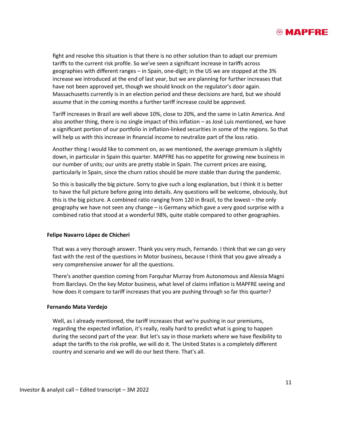

fight and resolve this situation is that there is no other solution than to adapt our premium tariffs to the current risk profile. So we've seen a significant increase in tariffs across geographies with different ranges – in Spain, one-digit; in the US we are stopped at the 3% increase we introduced at the end of last year, but we are planning for further increases that have not been approved yet, though we should knock on the regulator's door again. Massachusetts currently is in an election period and these decisions are hard, but we should assume that in the coming months a further tariff increase could be approved.

Tariff increases in Brazil are well above 10%, close to 20%, and the same in Latin America. And also another thing, there is no single impact of this inflation – as José Luis mentioned, we have a significant portion of our portfolio in inflation-linked securities in some of the regions. So that will help us with this increase in financial income to neutralize part of the loss ratio.

Another thing I would like to comment on, as we mentioned, the average premium is slightly down, in particular in Spain this quarter. MAPFRE has no appetite for growing new business in our number of units; our units are pretty stable in Spain. The current prices are easing, particularly in Spain, since the churn ratios should be more stable than during the pandemic.

So this is basically the big picture. Sorry to give such a long explanation, but I think it is better to have the full picture before going into details. Any questions will be welcome, obviously, but this is the big picture. A combined ratio ranging from 120 in Brazil, to the lowest – the only geography we have not seen any change – is Germany which gave a very good surprise with a combined ratio that stood at a wonderful 98%, quite stable compared to other geographies.

#### **Felipe Navarro López de Chicheri**

That was a very thorough answer. Thank you very much, Fernando. I think that we can go very fast with the rest of the questions in Motor business, because I think that you gave already a very comprehensive answer for all the questions.

There's another question coming from Farquhar Murray from Autonomous and Alessia Magni from Barclays. On the key Motor business, what level of claims inflation is MAPFRE seeing and how does it compare to tariff increases that you are pushing through so far this quarter?

#### **Fernando Mata Verdejo**

Well, as I already mentioned, the tariff increases that we're pushing in our premiums, regarding the expected inflation, it's really, really hard to predict what is going to happen during the second part of the year. But let's say in those markets where we have flexibility to adapt the tariffs to the risk profile, we will do it. The United States is a completely different country and scenario and we will do our best there. That's all.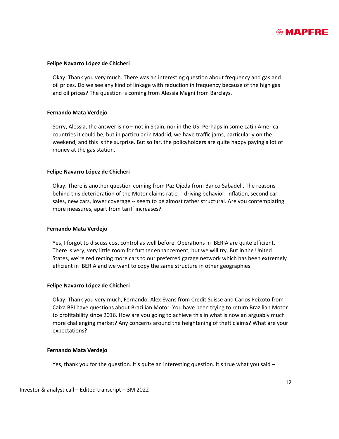

#### **Felipe Navarro López de Chicheri**

Okay. Thank you very much. There was an interesting question about frequency and gas and oil prices. Do we see any kind of linkage with reduction in frequency because of the high gas and oil prices? The question is coming from Alessia Magni from Barclays.

#### **Fernando Mata Verdejo**

Sorry, Alessia, the answer is no – not in Spain, nor in the US. Perhaps in some Latin America countries it could be, but in particular in Madrid, we have traffic jams, particularly on the weekend, and this is the surprise. But so far, the policyholders are quite happy paying a lot of money at the gas station.

#### **Felipe Navarro López de Chicheri**

Okay. There is another question coming from Paz Ojeda from Banco Sabadell. The reasons behind this deterioration of the Motor claims ratio -- driving behavior, inflation, second car sales, new cars, lower coverage -- seem to be almost rather structural. Are you contemplating more measures, apart from tariff increases?

#### **Fernando Mata Verdejo**

Yes, I forgot to discuss cost control as well before. Operations in IBERIA are quite efficient. There is very, very little room for further enhancement, but we will try. But in the United States, we're redirecting more cars to our preferred garage network which has been extremely efficient in IBERIA and we want to copy the same structure in other geographies.

#### **Felipe Navarro López de Chicheri**

Okay. Thank you very much, Fernando. Alex Evans from Credit Suisse and Carlos Peixoto from Caixa BPI have questions about Brazilian Motor. You have been trying to return Brazilian Motor to profitability since 2016. How are you going to achieve this in what is now an arguably much more challenging market? Any concerns around the heightening of theft claims? What are your expectations?

#### **Fernando Mata Verdejo**

Yes, thank you for the question. It's quite an interesting question. It's true what you said  $-$ 

Investor & analyst call – Edited transcript – 3M 2022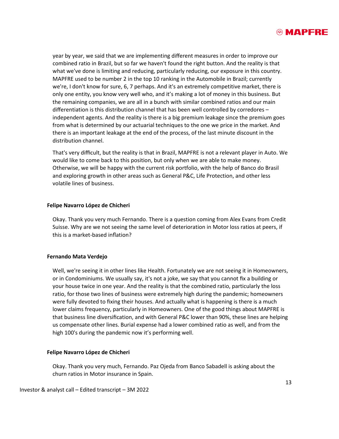

year by year, we said that we are implementing different measures in order to improve our combined ratio in Brazil, but so far we haven't found the right button. And the reality is that what we've done is limiting and reducing, particularly reducing, our exposure in this country. MAPFRE used to be number 2 in the top 10 ranking in the Automobile in Brazil; currently we're, I don't know for sure, 6, 7 perhaps. And it's an extremely competitive market, there is only one entity, you know very well who, and it's making a lot of money in this business. But the remaining companies, we are all in a bunch with similar combined ratios and our main differentiation is this distribution channel that has been well controlled by corredores – independent agents. And the reality is there is a big premium leakage since the premium goes from what is determined by our actuarial techniques to the one we price in the market. And there is an important leakage at the end of the process, of the last minute discount in the distribution channel.

That's very difficult, but the reality is that in Brazil, MAPFRE is not a relevant player in Auto. We would like to come back to this position, but only when we are able to make money. Otherwise, we will be happy with the current risk portfolio, with the help of Banco do Brasil and exploring growth in other areas such as General P&C, Life Protection, and other less volatile lines of business.

#### **Felipe Navarro López de Chicheri**

Okay. Thank you very much Fernando. There is a question coming from Alex Evans from Credit Suisse. Why are we not seeing the same level of deterioration in Motor loss ratios at peers, if this is a market-based inflation?

#### **Fernando Mata Verdejo**

Well, we're seeing it in other lines like Health. Fortunately we are not seeing it in Homeowners, or in Condominiums. We usually say, it's not a joke, we say that you cannot fix a building or your house twice in one year. And the reality is that the combined ratio, particularly the loss ratio, for those two lines of business were extremely high during the pandemic; homeowners were fully devoted to fixing their houses. And actually what is happening is there is a much lower claims frequency, particularly in Homeowners. One of the good things about MAPFRE is that business line diversification, and with General P&C lower than 90%, these lines are helping us compensate other lines. Burial expense had a lower combined ratio as well, and from the high 100's during the pandemic now it's performing well.

#### **Felipe Navarro López de Chicheri**

Okay. Thank you very much, Fernando. Paz Ojeda from Banco Sabadell is asking about the churn ratios in Motor insurance in Spain.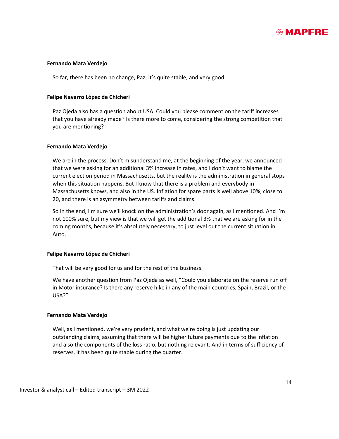

#### **Fernando Mata Verdejo**

So far, there has been no change, Paz; it's quite stable, and very good.

#### **Felipe Navarro López de Chicheri**

Paz Ojeda also has a question about USA. Could you please comment on the tariff increases that you have already made? Is there more to come, considering the strong competition that you are mentioning?

#### **Fernando Mata Verdejo**

We are in the process. Don't misunderstand me, at the beginning of the year, we announced that we were asking for an additional 3% increase in rates, and I don't want to blame the current election period in Massachusetts, but the reality is the administration in general stops when this situation happens. But I know that there is a problem and everybody in Massachusetts knows, and also in the US. Inflation for spare parts is well above 10%, close to 20, and there is an asymmetry between tariffs and claims.

So in the end, I'm sure we'll knock on the administration's door again, as I mentioned. And I'm not 100% sure, but my view is that we will get the additional 3% that we are asking for in the coming months, because it's absolutely necessary, to just level out the current situation in Auto.

#### **Felipe Navarro López de Chicheri**

That will be very good for us and for the rest of the business.

We have another question from Paz Ojeda as well, "Could you elaborate on the reserve run off in Motor insurance? Is there any reserve hike in any of the main countries, Spain, Brazil, or the USA?"

#### **Fernando Mata Verdejo**

Well, as I mentioned, we're very prudent, and what we're doing is just updating our outstanding claims, assuming that there will be higher future payments due to the inflation and also the components of the loss ratio, but nothing relevant. And in terms of sufficiency of reserves, it has been quite stable during the quarter.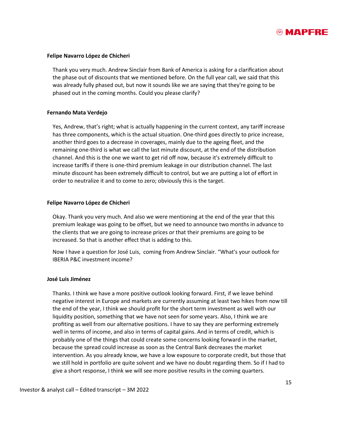

#### **Felipe Navarro López de Chicheri**

Thank you very much. Andrew Sinclair from Bank of America is asking for a clarification about the phase out of discounts that we mentioned before. On the full year call, we said that this was already fully phased out, but now it sounds like we are saying that they're going to be phased out in the coming months. Could you please clarify?

#### **Fernando Mata Verdejo**

Yes, Andrew, that's right; what is actually happening in the current context, any tariff increase has three components, which is the actual situation. One-third goes directly to price increase, another third goes to a decrease in coverages, mainly due to the ageing fleet, and the remaining one-third is what we call the last minute discount, at the end of the distribution channel. And this is the one we want to get rid off now, because it's extremely difficult to increase tariffs if there is one-third premium leakage in our distribution channel. The last minute discount has been extremely difficult to control, but we are putting a lot of effort in order to neutralize it and to come to zero; obviously this is the target.

#### **Felipe Navarro López de Chicheri**

Okay. Thank you very much. And also we were mentioning at the end of the year that this premium leakage was going to be offset, but we need to announce two months in advance to the clients that we are going to increase prices or that their premiums are going to be increased. So that is another effect that is adding to this.

Now I have a question for José Luis, coming from Andrew Sinclair. "What's your outlook for IBERIA P&C investment income?

#### **José Luis Jiménez**

Thanks. I think we have a more positive outlook looking forward. First, if we leave behind negative interest in Europe and markets are currently assuming at least two hikes from now till the end of the year, I think we should profit for the short term investment as well with our liquidity position, something that we have not seen for some years. Also, I think we are profiting as well from our alternative positions. I have to say they are performing extremely well in terms of income, and also in terms of capital gains. And in terms of credit, which is probably one of the things that could create some concerns looking forward in the market, because the spread could increase as soon as the Central Bank decreases the market intervention. As you already know, we have a low exposure to corporate credit, but those that we still hold in portfolio are quite solvent and we have no doubt regarding them. So if I had to give a short response, I think we will see more positive results in the coming quarters.

Investor & analyst call – Edited transcript – 3M 2022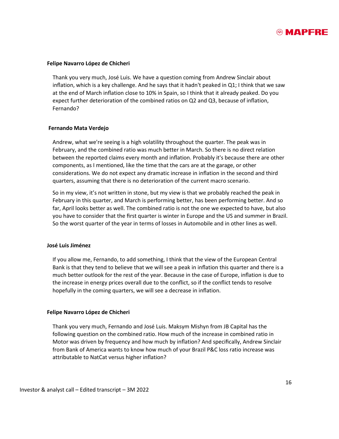

#### **Felipe Navarro López de Chicheri**

Thank you very much, José Luis. We have a question coming from Andrew Sinclair about inflation, which is a key challenge. And he says that it hadn't peaked in Q1; I think that we saw at the end of March inflation close to 10% in Spain, so I think that it already peaked. Do you expect further deterioration of the combined ratios on Q2 and Q3, because of inflation, Fernando?

#### **Fernando Mata Verdejo**

Andrew, what we're seeing is a high volatility throughout the quarter. The peak was in February, and the combined ratio was much better in March. So there is no direct relation between the reported claims every month and inflation. Probably it's because there are other components, as I mentioned, like the time that the cars are at the garage, or other considerations. We do not expect any dramatic increase in inflation in the second and third quarters, assuming that there is no deterioration of the current macro scenario.

So in my view, it's not written in stone, but my view is that we probably reached the peak in February in this quarter, and March is performing better, has been performing better. And so far, April looks better as well. The combined ratio is not the one we expected to have, but also you have to consider that the first quarter is winter in Europe and the US and summer in Brazil. So the worst quarter of the year in terms of losses in Automobile and in other lines as well.

#### **José Luis Jiménez**

If you allow me, Fernando, to add something, I think that the view of the European Central Bank is that they tend to believe that we will see a peak in inflation this quarter and there is a much better outlook for the rest of the year. Because in the case of Europe, inflation is due to the increase in energy prices overall due to the conflict, so if the conflict tends to resolve hopefully in the coming quarters, we will see a decrease in inflation.

#### **Felipe Navarro López de Chicheri**

Thank you very much, Fernando and José Luis. Maksym Mishyn from JB Capital has the following question on the combined ratio. How much of the increase in combined ratio in Motor was driven by frequency and how much by inflation? And specifically, Andrew Sinclair from Bank of America wants to know how much of your Brazil P&C loss ratio increase was attributable to NatCat versus higher inflation?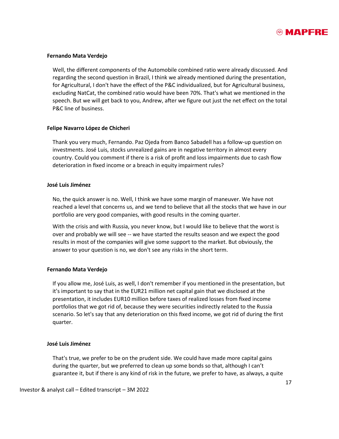

#### **Fernando Mata Verdejo**

Well, the different components of the Automobile combined ratio were already discussed. And regarding the second question in Brazil, I think we already mentioned during the presentation, for Agricultural, I don't have the effect of the P&C individualized, but for Agricultural business, excluding NatCat, the combined ratio would have been 70%. That's what we mentioned in the speech. But we will get back to you, Andrew, after we figure out just the net effect on the total P&C line of business.

#### **Felipe Navarro López de Chicheri**

Thank you very much, Fernando. Paz Ojeda from Banco Sabadell has a follow-up question on investments. José Luis, stocks unrealized gains are in negative territory in almost every country. Could you comment if there is a risk of profit and loss impairments due to cash flow deterioration in fixed income or a breach in equity impairment rules?

#### **José Luis Jiménez**

No, the quick answer is no. Well, I think we have some margin of maneuver. We have not reached a level that concerns us, and we tend to believe that all the stocks that we have in our portfolio are very good companies, with good results in the coming quarter.

With the crisis and with Russia, you never know, but I would like to believe that the worst is over and probably we will see -- we have started the results season and we expect the good results in most of the companies will give some support to the market. But obviously, the answer to your question is no, we don't see any risks in the short term.

#### **Fernando Mata Verdejo**

If you allow me, José Luis, as well, I don't remember if you mentioned in the presentation, but it's important to say that in the EUR21 million net capital gain that we disclosed at the presentation, it includes EUR10 million before taxes of realized losses from fixed income portfolios that we got rid of, because they were securities indirectly related to the Russia scenario. So let's say that any deterioration on this fixed income, we got rid of during the first quarter.

#### **José Luis Jiménez**

That's true, we prefer to be on the prudent side. We could have made more capital gains during the quarter, but we preferred to clean up some bonds so that, although I can't guarantee it, but if there is any kind of risk in the future, we prefer to have, as always, a quite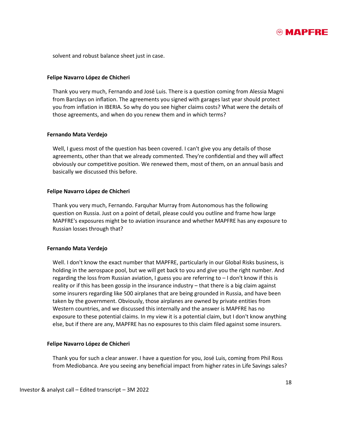

solvent and robust balance sheet just in case.

#### **Felipe Navarro López de Chicheri**

Thank you very much, Fernando and José Luis. There is a question coming from Alessia Magni from Barclays on inflation. The agreements you signed with garages last year should protect you from inflation in IBERIA. So why do you see higher claims costs? What were the details of those agreements, and when do you renew them and in which terms?

#### **Fernando Mata Verdejo**

Well, I guess most of the question has been covered. I can't give you any details of those agreements, other than that we already commented. They're confidential and they will affect obviously our competitive position. We renewed them, most of them, on an annual basis and basically we discussed this before.

#### **Felipe Navarro López de Chicheri**

Thank you very much, Fernando. Farquhar Murray from Autonomous has the following question on Russia. Just on a point of detail, please could you outline and frame how large MAPFRE's exposures might be to aviation insurance and whether MAPFRE has any exposure to Russian losses through that?

#### **Fernando Mata Verdejo**

Well. I don't know the exact number that MAPFRE, particularly in our Global Risks business, is holding in the aerospace pool, but we will get back to you and give you the right number. And regarding the loss from Russian aviation, I guess you are referring to – I don't know if this is reality or if this has been gossip in the insurance industry – that there is a big claim against some insurers regarding like 500 airplanes that are being grounded in Russia, and have been taken by the government. Obviously, those airplanes are owned by private entities from Western countries, and we discussed this internally and the answer is MAPFRE has no exposure to these potential claims. In my view it is a potential claim, but I don't know anything else, but if there are any, MAPFRE has no exposures to this claim filed against some insurers.

#### **Felipe Navarro López de Chicheri**

Thank you for such a clear answer. I have a question for you, José Luis, coming from Phil Ross from Mediobanca. Are you seeing any beneficial impact from higher rates in Life Savings sales?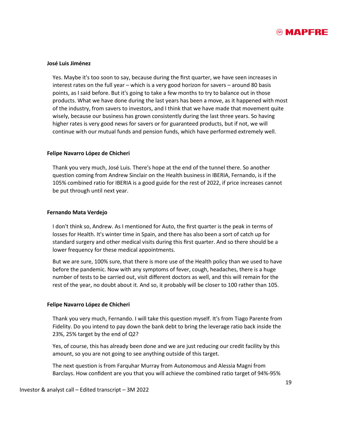

#### **José Luis Jiménez**

Yes. Maybe it's too soon to say, because during the first quarter, we have seen increases in interest rates on the full year – which is a very good horizon for savers – around 80 basis points, as I said before. But it's going to take a few months to try to balance out in those products. What we have done during the last years has been a move, as it happened with most of the industry, from savers to investors, and I think that we have made that movement quite wisely, because our business has grown consistently during the last three years. So having higher rates is very good news for savers or for guaranteed products, but if not, we will continue with our mutual funds and pension funds, which have performed extremely well.

#### **Felipe Navarro López de Chicheri**

Thank you very much, José Luis. There's hope at the end of the tunnel there. So another question coming from Andrew Sinclair on the Health business in IBERIA, Fernando, is if the 105% combined ratio for IBERIA is a good guide for the rest of 2022, if price increases cannot be put through until next year.

#### **Fernando Mata Verdejo**

I don't think so, Andrew. As I mentioned for Auto, the first quarter is the peak in terms of losses for Health. It's winter time in Spain, and there has also been a sort of catch up for standard surgery and other medical visits during this first quarter. And so there should be a lower frequency for these medical appointments.

But we are sure, 100% sure, that there is more use of the Health policy than we used to have before the pandemic. Now with any symptoms of fever, cough, headaches, there is a huge number of tests to be carried out, visit different doctors as well, and this will remain for the rest of the year, no doubt about it. And so, it probably will be closer to 100 rather than 105.

#### **Felipe Navarro López de Chicheri**

Thank you very much, Fernando. I will take this question myself. It's from Tiago Parente from Fidelity. Do you intend to pay down the bank debt to bring the leverage ratio back inside the 23%, 25% target by the end of Q2?

Yes, of course, this has already been done and we are just reducing our credit facility by this amount, so you are not going to see anything outside of this target.

The next question is from Farquhar Murray from Autonomous and Alessia Magni from Barclays. How confident are you that you will achieve the combined ratio target of 94%-95%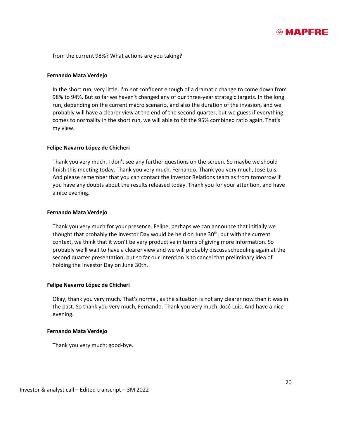

from the current 98%? What actions are you taking?

#### **Fernando Mata Verdejo**

In the short run, very little. I'm not confident enough of a dramatic change to come down from 98% to 94%. But so far we haven't changed any of our three-year strategic targets. In the long run, depending on the current macro scenario, and also the duration of the invasion, and we probably will have a clearer view at the end of the second quarter, but we guess if everything comes to normality in the short run, we will able to hit the 95% combined ratio again. That's my view.

#### **Felipe Navarro López de Chicheri**

Thank you very much. I don't see any further questions on the screen. So maybe we should finish this meeting today. Thank you very much, Fernando. Thank you very much, José Luis. And please remember that you can contact the Investor Relations team as from tomorrow if you have any doubts about the results released today. Thank you for your attention, and have a nice evening.

#### **Fernando Mata Verdejo**

Thank you very much for your presence. Felipe, perhaps we can announce that initially we thought that probably the Investor Day would be held on June  $30<sup>th</sup>$ , but with the current context, we think that it won't be very productive in terms of giving more information. So probably we'll wait to have a clearer view and we will probably discuss scheduling again at the second quarter presentation, but so far our intention is to cancel that preliminary idea of holding the Investor Day on June 30th.

#### **Felipe Navarro López de Chicheri**

Okay, thank you very much. That's normal, as the situation is not any clearer now than it was in the past. So thank you very much, Fernando. Thank you very much, José Luis. And have a nice evening.

#### **Fernando Mata Verdejo**

Thank you very much; good-bye.